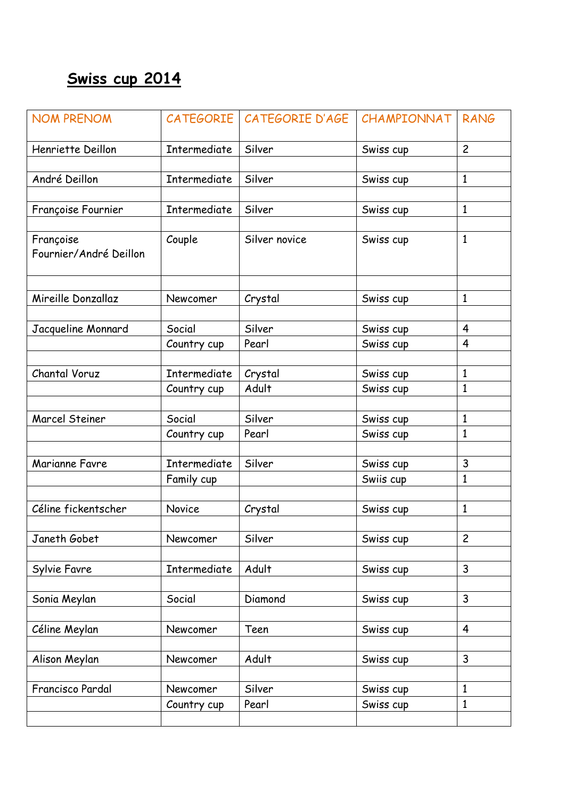## **Swiss cup 2014**

| <b>NOM PRENOM</b>                   |                     | CATEGORIE CATEGORIE D'AGE | CHAMPIONNAT            | <b>RANG</b>    |
|-------------------------------------|---------------------|---------------------------|------------------------|----------------|
| Henriette Deillon                   | Intermediate        | Silver                    | Swiss cup              | $\overline{c}$ |
|                                     |                     |                           |                        |                |
| André Deillon                       | Intermediate        | Silver                    | Swiss cup              | $\mathbf{1}$   |
| Françoise Fournier                  | <b>Intermediate</b> | Silver                    | Swiss cup              | $\mathbf{1}$   |
|                                     |                     |                           |                        |                |
| Françoise<br>Fournier/André Deillon | Couple              | Silver novice             | Swiss cup              | $\mathbf{1}$   |
| Mireille Donzallaz                  | Newcomer            | Crystal                   | Swiss cup              | $\mathbf{1}$   |
|                                     |                     |                           |                        |                |
| Jacqueline Monnard                  | Social              | Silver                    | Swiss cup              | 4              |
|                                     | Country cup         | Pearl                     | Swiss cup              | $\overline{4}$ |
| Chantal Voruz                       | Intermediate        | Crystal                   | Swiss cup              | $\mathbf{1}$   |
|                                     | Country cup         | Adult                     | Swiss cup              | 1              |
|                                     |                     |                           |                        |                |
| Marcel Steiner                      | Social              | Silver                    | Swiss cup              | 1              |
|                                     | Country cup         | Pearl                     | Swiss cup              | $\mathbf{1}$   |
| Marianne Favre                      | Intermediate        | Silver                    | Swiss cup              | 3              |
|                                     | Family cup          |                           | Swiis cup              | $\mathbf{1}$   |
|                                     |                     |                           |                        |                |
| Céline fickentscher                 | <b>Novice</b>       | Crystal                   | Swiss cup              | $\mathbf{1}$   |
|                                     |                     |                           |                        |                |
| Janeth Gobet                        | Newcomer            | Silver                    | Swiss cup              | $\overline{c}$ |
|                                     |                     |                           |                        | 3              |
| Sylvie Favre                        | Intermediate        | Adult                     | Swiss cup              |                |
| Sonia Meylan                        | Social              | Diamond                   | Swiss cup              | $\mathsf{3}$   |
|                                     |                     |                           |                        |                |
| Céline Meylan                       | Newcomer            | Teen                      | Swiss cup              | 4              |
|                                     |                     |                           |                        |                |
| Alison Meylan                       | Newcomer            | Adult                     | Swiss cup              | 3              |
| Francisco Pardal                    | Newcomer            | Silver                    |                        | $\mathbf{1}$   |
|                                     | Country cup         | Pearl                     | Swiss cup<br>Swiss cup | $\mathbf{1}$   |
|                                     |                     |                           |                        |                |